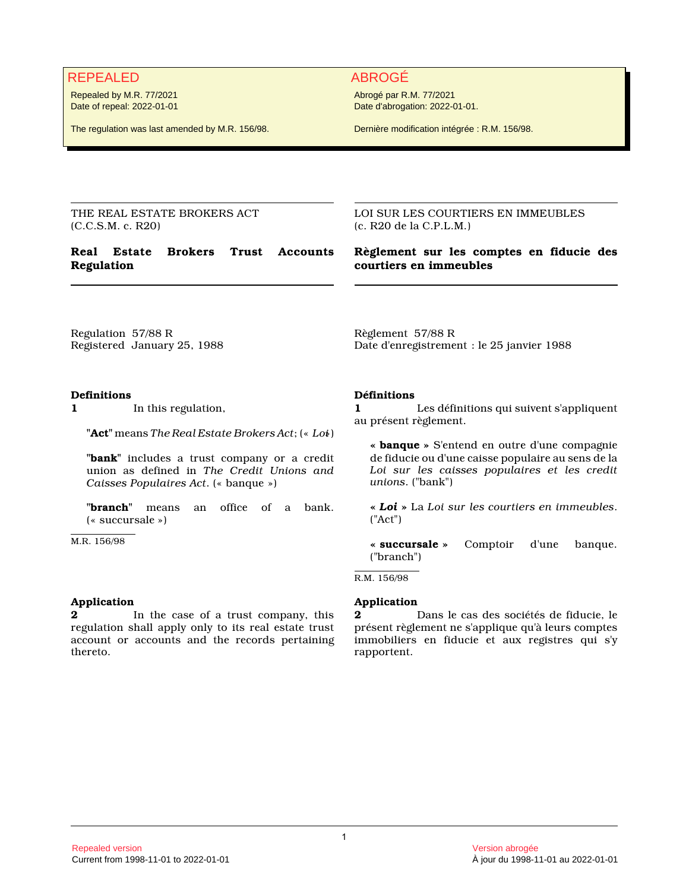# REPEALED ABROGÉ

Repealed by M.R. 77/2021 Date of repeal: 2022-01-01

The regulation was last amended by M.R. 156/98.

Abrogé par R.M. 77/2021 Date d'abrogation: 2022-01-01.

Dernière modification intégrée : R.M. 156/98.

THE REAL ESTATE BROKERS ACT (C.C.S.M. c. R20)

# **Real Estate Brokers Trust Accounts Regulation**

LOI SUR LES COURTIERS EN IMMEUBLES (c. R20 de la C.P.L.M.)

# **Règlement sur les comptes en fiducie des courtiers en immeubles**

Regulation 57/88 R Registered January 25, 1988

# **Definitions**

**1** In this regulation,

**"Act"** means *The Real Estate Brokers Act*; (« *Loi*»)

**"bank"** includes a trust company or a credit union as defined in *The Credit Unions and Caisses Populaires Act*. (« banque »)

**"branch"** means an office of a bank. (« succursale »)

M.R. 156/98

# **Application**

**2** In the case of a trust company, this regulation shall apply only to its real estate trust account or accounts and the records pertaining thereto.

Règlement 57/88 R Date d'enregistrement : le 25 janvier 1988

# **Définitions**

**1** Les définitions qui suivent s'appliquent au présent règlement.

**« banque »** S'entend en outre d'une compagnie de fiducie ou d'une caisse populaire au sens de la *Loi sur les caisses populaires et les credit unions*. ("bank")

**«** *Loi* **»** La *Loi sur les courtiers en immeubles*. ("Act")

**« succursale »** Comptoir d'une banque. ("branch")

R.M. 156/98

# **Application**

**2** Dans le cas des sociétés de fiducie, le présent règlement ne s'applique qu'à leurs comptes immobiliers en fiducie et aux registres qui s'y rapportent.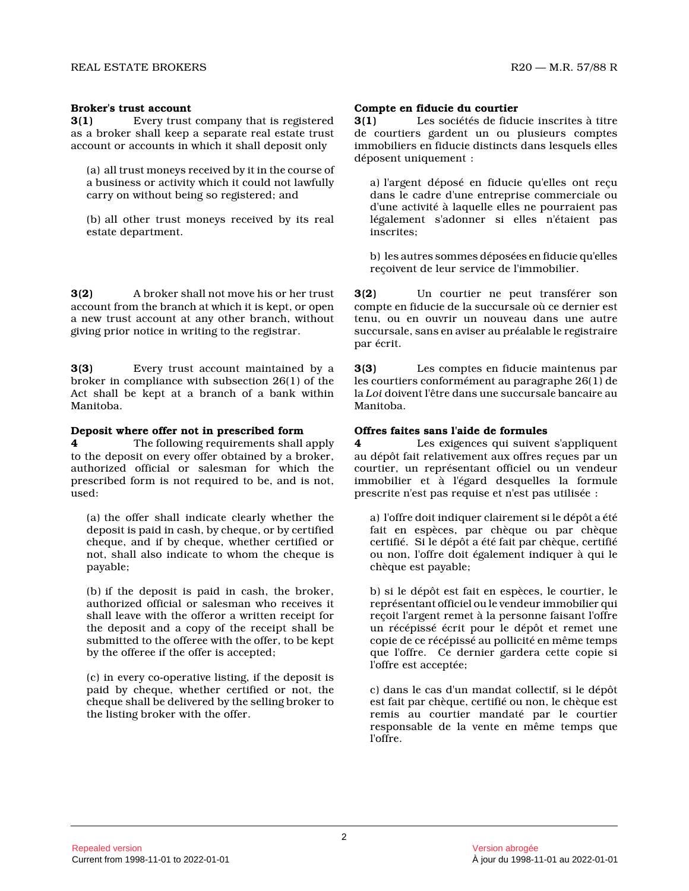## **Broker's trust account**

**3(1)** Every trust company that is registered as a broker shall keep a separate real estate trust account or accounts in which it shall deposit only

(a) all trust moneys received by it in the course of a business or activity which it could not lawfully carry on without being so registered; and

(b) all other trust moneys received by its real estate department.

**3(2)** A broker shall not move his or her trust account from the branch at which it is kept, or ope n a new trust account at any other branch, without giving prior notice in writing to the registrar.

**3(3)** Every trust account maintained by a broker in compliance with subsection 26(1) of the Act shall be kept at a branch of a bank within Manitoba.

## **Deposit where offer not in prescribed form**

**4** The following requirements shall apply to the deposit on every offer obtained by a broker, authorized official or salesman for which the prescribed form is not required to be, and is not, used:

(a) the offer shall indicate clearly whether the deposit is paid in cash, by cheque, or by certified cheque, and if by cheque, whether certified or not, shall also indicate to whom the cheque is payable;

(b) if the deposit is paid in cash, the broker, authorized official or salesman who receives it shall leave with the offeror a written receipt for the deposit and a copy of the receipt shall be submitted to the offeree with the offer, to be kept by the offeree if the offer is accepted;

(c) in every co-operative listing, if the deposit is paid by cheque, whether certified or not, the cheque shall be delivered by the selling broker to the listing broker with the offer.

## **Compte en fiducie du courtier**

**3(1)** Les sociétés de fiducie inscrites à titre de courtiers gardent un ou plusieurs comptes immobiliers en fiducie distincts dans lesquels elle s déposent uniquement :

a) l'argent déposé en fiducie qu'elles ont reçu dans le cadre d'une entreprise commerciale ou d'une activité à laquelle elles ne pourraient pas légalement s'adonner si elles n'étaient pas inscrites;

b) les autres sommes déposées en fiducie qu'elles reçoivent de leur service de l'immobilier.

**3(2)** Un courtier ne peut transférer son compte en fiducie de la succursale où ce dernier es t tenu, ou en ouvrir un nouveau dans une autre succursale, sans en aviser au préalable le registraire par écrit.

**3(3)** Les comptes en fiducie maintenus par les courtiers conformément au paragraphe 26(1) de la *Loi* doivent l'être dans une succursale bancaire au Manitoba.

# **Offres faites sans l'aide de formules**

**4** Les exigences qui suivent s'appliquent au dépôt fait relativement aux offres reçues par un courtier, un représentant officiel ou un vendeur immobilier et à l'égard desquelles la formule prescrite n'est pas requise et n'est pas utilisée :

a) l'offre doit indiquer clairement si le dépôt a ét é fait en espèces, par chèque ou par chèque certifié. Si le dépôt a été fait par chèque, certifié ou non, l'offre doit également indiquer à qui le chèque est payable;

b) si le dépôt est fait en espèces, le courtier, le représentant officiel ou le vendeur immobilier qui reçoit l'argent remet à la personne faisant l'offre un récépissé écrit pour le dépôt et remet une copie de ce récépissé au pollicité en même temps que l'offre. Ce dernier gardera cette copie si l'offre est acceptée;

c) dans le cas d'un mandat collectif, si le dépôt est fait par chèque, certifié ou non, le chèque est remis au courtier mandaté par le courtier responsable de la vente en même temps que l'offre.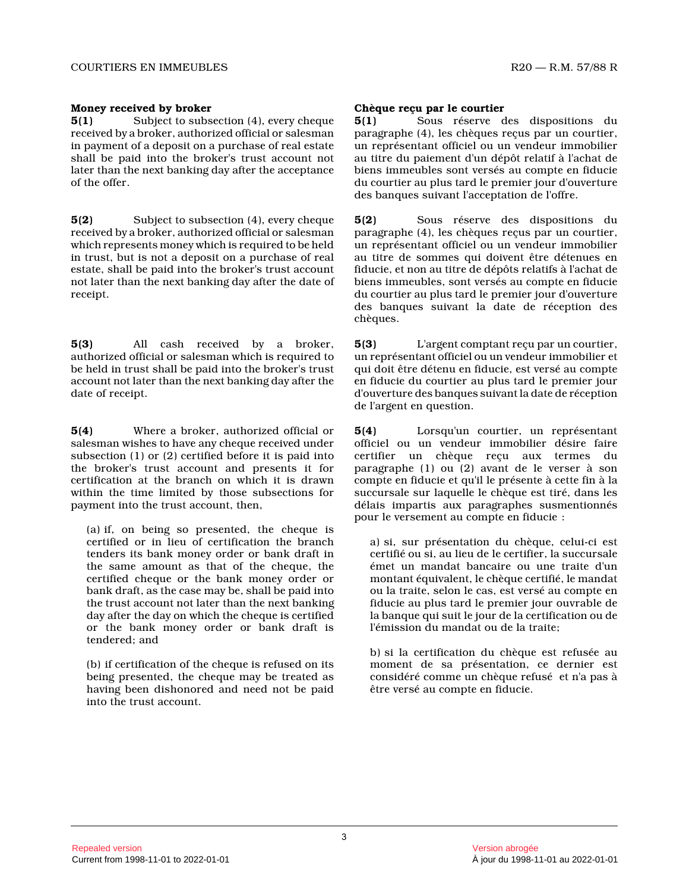## **Money received by broker**

**5(1)** Subject to subsection (4), every cheque received by a broker, authorized official or salesman in payment of a deposit on a purchase of real estat e shall be paid into the broker's trust account not later than the next banking day after the acceptanc e of the offer.

**5(2)** Subject to subsection (4), every cheque received by a broker, authorized official or salesman which represents money which is required to be held in trust, but is not a deposit on a purchase of rea l estate, shall be paid into the broker's trust account not later than the next banking day after the date of receipt.

**5(3)** All cash received by a broker, authorized official or salesman which is required t o be held in trust shall be paid into the broker's trust account not later than the next banking day after the date of receipt.

**5(4)** Where a broker, authorized official or salesman wishes to have any cheque received under subsection (1) or (2) certified before it is paid into the broker's trust account and presents it for certification at the branch on which it is drawn within the time limited by those subsections for payment into the trust account, then,

(a) if, on being so presented, the cheque is certified or in lieu of certification the branch tenders its bank money order or bank draft in the same amount as that of the cheque, the certified cheque or the bank money order or bank draft, as the case may be, shall be paid into the trust account not later than the next banking day after the day on which the cheque is certified or the bank money order or bank draft is tendered; and

(b) if certification of the cheque is refused on its being presented, the cheque may be treated as having been dishonored and need not be paid into the trust account.

## **Chèque reçu par le courtier**

**5(1)** Sous réserve des dispositions du paragraphe (4), les chèques reçus par un courtier, un représentant officiel ou un vendeur immobilier au titre du paiement d'un dépôt relatif à l'achat d e biens immeubles sont versés au compte en fiducie du courtier au plus tard le premier jour d'ouvertur e des banques suivant l'acceptation de l'offre.

**5(2)** Sous réserve des dispositions du paragraphe (4), les chèques reçus par un courtier, un représentant officiel ou un vendeur immobilier au titre de sommes qui doivent être détenues en fiducie, et non au titre de dépôts relatifs à l'achat de biens immeubles, sont versés au compte en fiducie du courtier au plus tard le premier jour d'ouvertur e des banques suivant la date de réception des chèques.

**5(3)** L'argent comptant reçu par un courtier, un représentant officiel ou un vendeur immobilier e t qui doit être détenu en fiducie, est versé au compt e en fiducie du courtier au plus tard le premier jour d'ouverture des banques suivant la date de réceptio n de l'argent en question.

**5(4)** Lorsqu'un courtier, un représentant officiel ou un vendeur immobilier désire faire certifier un chèque reçu aux termes du paragraphe (1) ou (2) avant de le verser à son compte en fiducie et qu'il le présente à cette fin à la succursale sur laquelle le chèque est tiré, dans le s délais impartis aux paragraphes susmentionnés pour le versement au compte en fiducie :

a) si, sur présentation du chèque, celui-ci est certifié ou si, au lieu de le certifier, la succursale émet un mandat bancaire ou une traite d'un montant équivalent, le chèque certifié, le mandat ou la traite, selon le cas, est versé au compte en fiducie au plus tard le premier jour ouvrable de la banque qui suit le jour de la certification ou d e l'émission du mandat ou de la traite;

b) si la certification du chèque est refusée au moment de sa présentation, ce dernier est considéré comme un chèque refusé et n'a pas à être versé au compte en fiducie.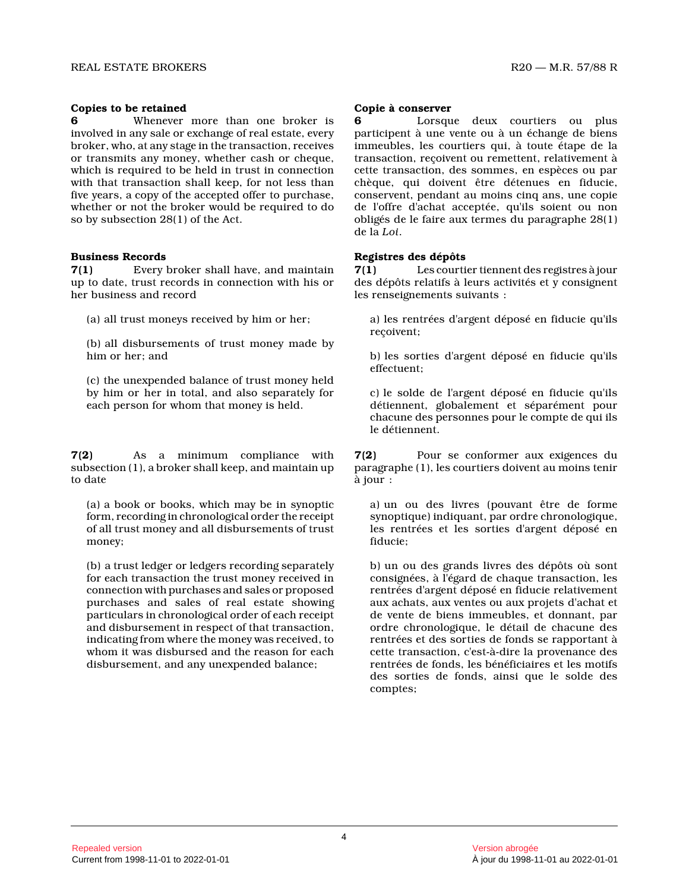## **Copies to be retained**

**6** Whenever more than one broker is involved in any sale or exchange of real estate, every broker, who, at any stage in the transaction, receives or transmits any money, whether cash or cheque, which is required to be held in trust in connection with that transaction shall keep, for not less than five years, a copy of the accepted offer to purchase, whether or not the broker would be required to do so by subsection 28(1) of the Act.

#### **Business Records**

**7(1)** Every broker shall have, and maintain up to date, trust records in connection with his or her business and record

(a) all trust moneys received by him or her;

(b) all disbursements of trust money made by him or her; and

(c) the unexpended balance of trust money held by him or her in total, and also separately for each person for whom that money is held.

**7(2)** As a minimum compliance with subsection (1), a broker shall keep, and maintain u p to date

(a) a book or books, which may be in synoptic form, recording in chronological order the receipt of all trust money and all disbursements of trust money;

(b) a trust ledger or ledgers recording separately for each transaction the trust money received in connection with purchases and sales or proposed purchases and sales of real estate showing particulars in chronological order of each receipt and disbursement in respect of that transaction, indicating from where the money was received, to whom it was disbursed and the reason for each disbursement, and any unexpended balance;

#### **Copie à conserver**

Lorsque deux courtiers ou plus participent à une vente ou à un échange de biens immeubles, les courtiers qui, à toute étape de la transaction, reçoivent ou remettent, relativement à cette transaction, des sommes, en espèces ou par chèque, qui doivent être détenues en fiducie, conservent, pendant au moins cinq ans, une copie de l'offre d'achat acceptée, qu'ils soient ou non obligés de le faire aux termes du paragraphe 28(1) de la *Loi* .

## **Registres des dépôts**

**7(1)** Les courtier tiennent des registres à jour des dépôts relatifs à leurs activités et y consignent les renseignements suivants :

a) les rentrées d'argent déposé en fiducie qu'ils reçoivent;

b) les sorties d'argent déposé en fiducie qu'ils effectuent;

c) le solde de l'argent déposé en fiducie qu'ils détiennent, globalement et séparément pour chacune des personnes pour le compte de qui ils le détiennent.

**7(2)** Pour se conformer aux exigences du paragraphe (1), les courtiers doivent au moins teni r à jour :

a) un ou des livres (pouvant être de forme synoptique) indiquant, par ordre chronologique, les rentrées et les sorties d'argent déposé en fiducie;

b) un ou des grands livres des dépôts où sont consignées, à l'égard de chaque transaction, les rentrées d'argent déposé en fiducie relativement aux achats, aux ventes ou aux projets d'achat et de vente de biens immeubles, et donnant, par ordre chronologique, le détail de chacune des rentrées et des sorties de fonds se rapportant à cette transaction, c'est-à-dire la provenance des rentrées de fonds, les bénéficiaires et les motifs des sorties de fonds, ainsi que le solde des comptes;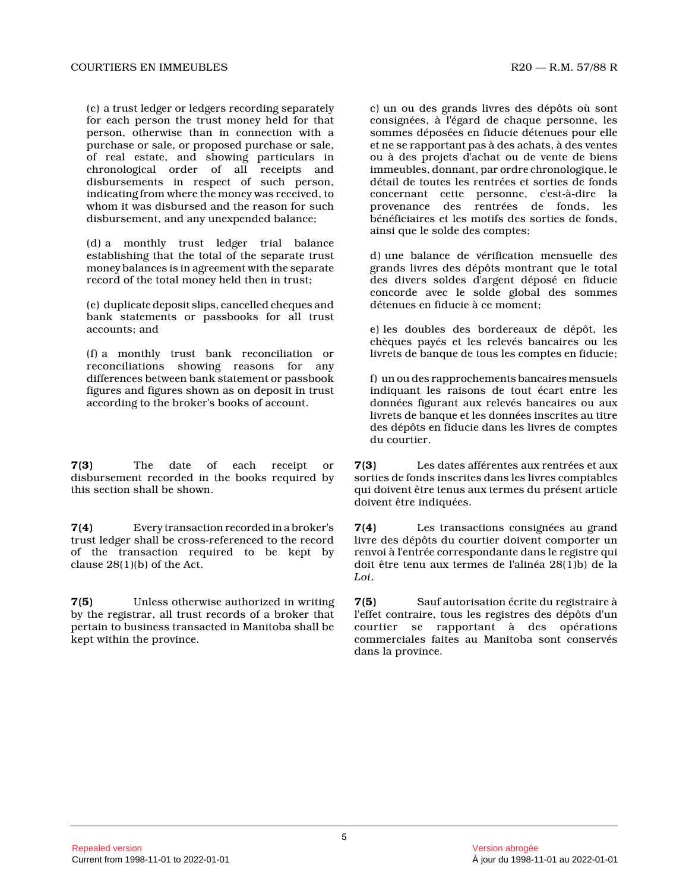(c) a trust ledger or ledgers recording separately for each person the trust money held for that person, otherwise than in connection with a purchase or sale, or proposed purchase or sale, of real estate, and showing particulars in chronological order of all receipts and disbursements in respect of such person, indicating from where the money was received, to whom it was disbursed and the reason for such disbursement, and any unexpended balance;

(d) a monthly trust ledger trial balance establishing that the total of the separate trust money balances is in agreement with the separate record of the total money held then in trust;

(e) duplicate deposit slips, cancelled cheques and bank statements or passbooks for all trust accounts; and

(f) a monthly trust bank reconciliation or reconciliations showing reasons for any differences between bank statement or passbook figures and figures shown as on deposit in trust according to the broker's books of account.

**7(3)** The date of each receipt or disbursement recorded in the books required by this section shall be shown.

**7(4)** Every transaction recorded in a broker's trust ledger shall be cross-referenced to the recor d of the transaction required to be kept by clause  $28(1)(b)$  of the Act.

**7(5)** Unless otherwise authorized in writing by the registrar, all trust records of a broker tha t pertain to business transacted in Manitoba shall be kept within the province.

c) un ou des grands livres des dépôts où sont consignées, à l'égard de chaque personne, les sommes déposées en fiducie détenues pour elle et ne se rapportant pas à des achats, à des ventes ou à des projets d'achat ou de vente de biens immeubles, donnant, par ordre chronologique, le détail de toutes les rentrées et sorties de fonds concernant cette personne, c'est-à-dire la provenance des rentrées de fonds, les bénéficiaires et les motifs des sorties de fonds, ainsi que le solde des comptes;

d) une balance de vérification mensuelle des grands livres des dépôts montrant que le total des divers soldes d'argent déposé en fiducie concorde avec le solde global des sommes détenues en fiducie à ce moment;

e) les doubles des bordereaux de dépôt, les chèques payés et les relevés bancaires ou les livrets de banque de tous les comptes en fiducie;

f) un ou des rapprochements bancaires mensuels indiquant les raisons de tout écart entre les données figurant aux relevés bancaires ou aux livrets de banque et les données inscrites au titre des dépôts en fiducie dans les livres de comptes du courtier.

**7(3)** Les dates afférentes aux rentrées et aux sorties de fonds inscrites dans les livres comptables qui doivent être tenus aux termes du présent articl e doivent être indiquées.

**7(4)** Les transactions consignées au grand livre des dépôts du courtier doivent comporter un renvoi à l'entrée correspondante dans le registre qui doit être tenu aux termes de l'alinéa 28(1)b) de la *Loi* .

**7(5)** Sauf autorisation écrite du registraire à l'effet contraire, tous les registres des dépôts d'un courtier se rapportant à des opérations commerciales faites au Manitoba sont conservés dans la province.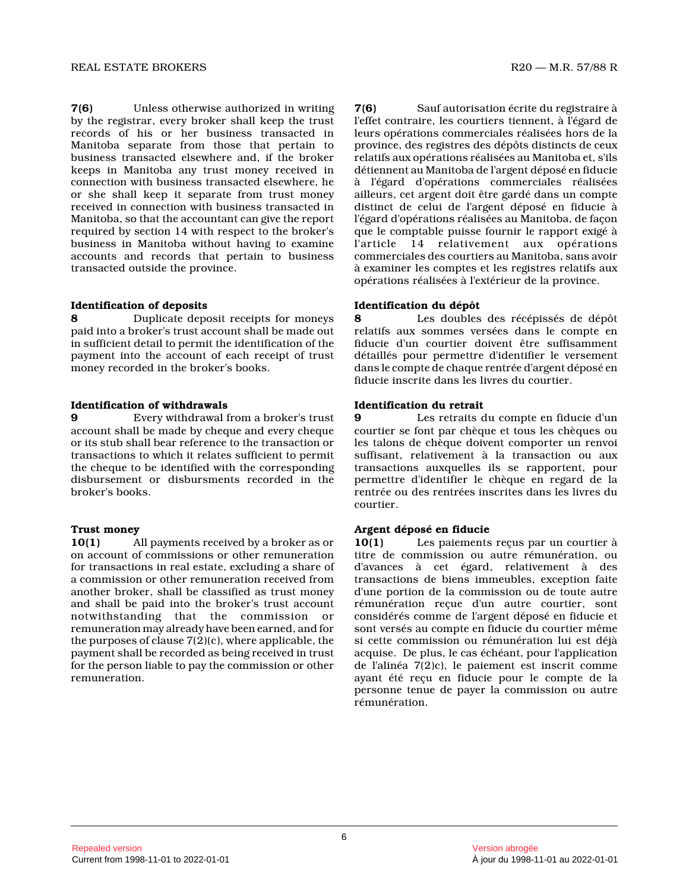**7(6)** Unless otherwise authorized in writing by the registrar, every broker shall keep the trust records of his or her business transacted in Manitoba separate from those that pertain to business transacted elsewhere and, if the broker keeps in Manitoba any trust money received in connection with business transacted elsewhere, he or she shall keep it separate from trust money received in connection with business transacted in Manitoba, so that the accountant can give the repor t required by section 14 with respect to the broker's business in Manitoba without having to examine accounts and records that pertain to business transacted outside the province.

# **Identification of deposits**

**8** Duplicate deposit receipts for moneys paid into a broker's trust account shall be made ou t in sufficient detail to permit the identification of the payment into the account of each receipt of trust money recorded in the broker's books.

# **Identification of withdrawals**

**9** Every withdrawal from a broker's trust account shall be made by cheque and every cheque or its stub shall bear reference to the transaction or transactions to which it relates sufficient to permit the cheque to be identified with the corresponding disbursement or disbursments recorded in the broker's books.

# **Trust money**

**10(1)** All payments received by a broker as or on account of commissions or other remuneration for transactions in real estate, excluding a share of a commission or other remuneration received from another broker, shall be classified as trust money and shall be paid into the broker's trust account notwithstanding that the commission or remuneration may already have been earned, and for the purposes of clause 7(2)(c), where applicable, the payment shall be recorded as being received in trus t for the person liable to pay the commission or othe r remuneration.

**7(6)** Sauf autorisation écrite du registraire à l'effet contraire, les courtiers tiennent, à l'égard de leurs opérations commerciales réalisées hors de la province, des registres des dépôts distincts de ceu x relatifs aux opérations réalisées au Manitoba et, s'ils détiennent au Manitoba de l'argent déposé en fiduci e à l'égard d'opérations commerciales réalisées ailleurs, cet argent doit être gardé dans un compte distinct de celui de l'argent déposé en fiducie à l'égard d'opérations réalisées au Manitoba, de faço n que le comptable puisse fournir le rapport exigé à l'article 14 relativement aux opérations commerciales des courtiers au Manitoba, sans avoir à examiner les comptes et les registres relatifs au x opérations réalisées à l'extérieur de la province.

# **Identification du dépôt**

**8** Les doubles des récépissés de dépôt relatifs aux sommes versées dans le compte en fiducie d'un courtier doivent être suffisamment détaillés pour permettre d'identifier le versement dans le compte de chaque rentrée d'argent déposé en fiducie inscrite dans les livres du courtier.

# **Identification du retrait**

**9** Les retraits du compte en fiducie d'un courtier se font par chèque et tous les chèques ou les talons de chèque doivent comporter un renvoi suffisant, relativement à la transaction ou aux transactions auxquelles ils se rapportent, pour permettre d'identifier le chèque en regard de la rentrée ou des rentrées inscrites dans les livres d u courtier.

# **Argent déposé en fiducie**

**10(1)** Les paiements reçus par un courtier à titre de commission ou autre rémunération, ou d'avances à cet égard, relativement à des transactions de biens immeubles, exception faite d'une portion de la commission ou de toute autre rémunération reçue d'un autre courtier, sont considérés comme de l'argent déposé en fiducie et sont versés au compte en fiducie du courtier même si cette commission ou rémunération lui est déjà acquise. De plus, le cas échéant, pour l'application de l'alinéa 7(2)c), le paiement est inscrit comme ayant été reçu en fiducie pour le compte de la personne tenue de payer la commission ou autre rémunération.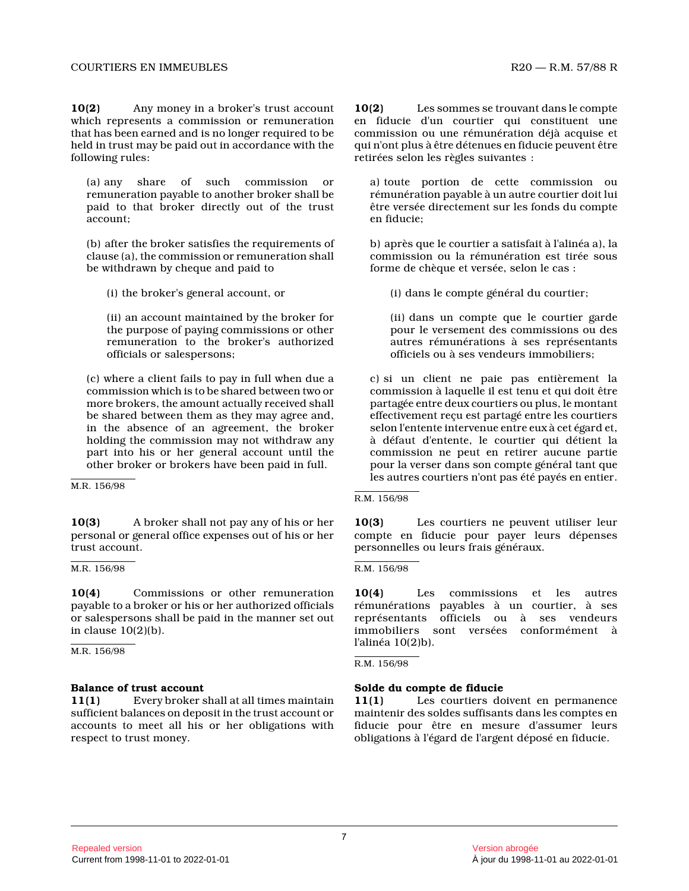**10(2)** Any money in a broker's trust account which represents a commission or remuneration that has been earned and is no longer required to b e held in trust may be paid out in accordance with th e following rules:

(a) any share of such commission or remuneration payable to another broker shall be paid to that broker directly out of the trust account;

(b) after the broker satisfies the requirements of clause (a), the commission or remuneration shall be withdrawn by cheque and paid to

(i) the broker's general account, or

(ii) an account maintained by the broker for the purpose of paying commissions or other remuneration to the broker's authorized officials or salespersons;

(c) where a client fails to pay in full when due a commission which is to be shared between two or more brokers, the amount actually received shall be shared between them as they may agree and, in the absence of an agreement, the broker holding the commission may not withdraw any part into his or her general account until the other broker or brokers have been paid in full.

M.R. 156/98

**10(3)** A broker shall not pay any of his or her personal or general office expenses out of his or her trust account.

M.R. 156/98

**10(4)** Commissions or other remuneration payable to a broker or his or her authorized officials or salespersons shall be paid in the manner set out in clause 10(2)(b).

M.R. 156/98

# **Balance of trust account**

**11(1)** Every broker shall at all times maintain sufficient balances on deposit in the trust account or accounts to meet all his or her obligations with respect to trust money.

**10(2)** Les sommes se trouvant dans le compte en fiducie d'un courtier qui constituent une commission ou une rémunération déjà acquise et qui n'ont plus à être détenues en fiducie peuvent être retirées selon les règles suivantes :

a) toute portion de cette commission ou rémunération payable à un autre courtier doit lui être versée directement sur les fonds du compte en fiducie;

b) après que le courtier a satisfait à l'alinéa a), la commission ou la rémunération est tirée sous forme de chèque et versée, selon le cas :

(i) dans le compte général du courtier;

(ii) dans un compte que le courtier garde pour le versement des commissions ou des autres rémunérations à ses représentants officiels ou à ses vendeurs immobiliers;

c) si un client ne paie pas entièrement la commission à laquelle il est tenu et qui doit être partagée entre deux courtiers ou plus, le montant effectivement reçu est partagé entre les courtiers selon l'entente intervenue entre eux à cet égard et , à défaut d'entente, le courtier qui détient la commission ne peut en retirer aucune partie pour la verser dans son compte général tant que les autres courtiers n'ont pas été payés en entier.

R.M. 156/98

**10(3)** Les courtiers ne peuvent utiliser leur compte en fiducie pour payer leurs dépenses personnelles ou leurs frais généraux.

R.M. 156/98

**10(4)** Les commissions et les autres rémunérations payables à un courtier, à ses représentants officiels ou à ses vendeurs immobiliers sont versées conformément à l'alinéa 10(2)b).

R.M. 156/98

# **Solde du compte de fiducie**

**11(1)** Les courtiers doivent en permanence maintenir des soldes suffisants dans les comptes en fiducie pour être en mesure d'assumer leurs obligations à l'égard de l'argent déposé en fiducie .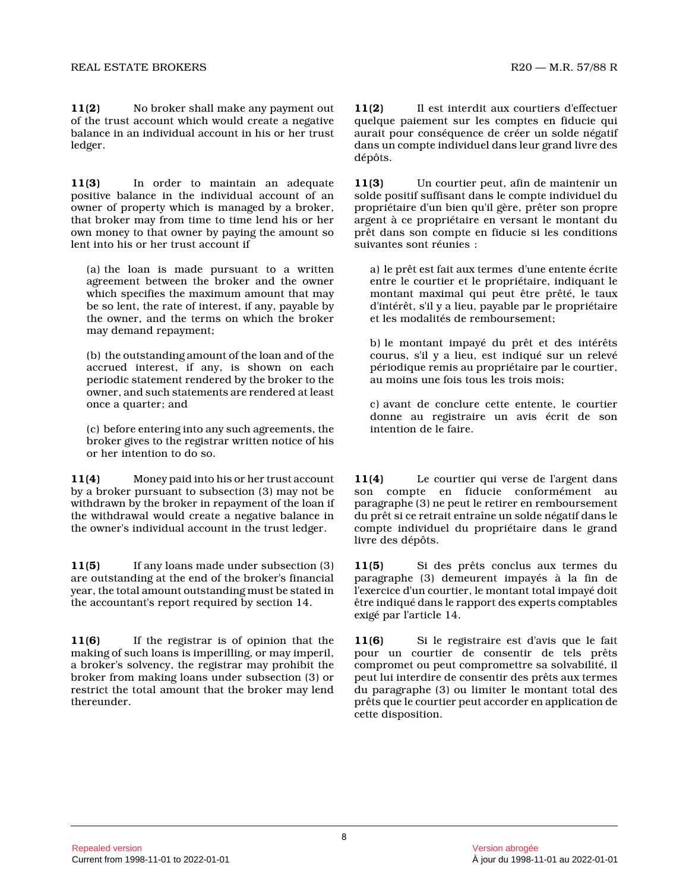**11(2)** No broker shall make any payment out of the trust account which would create a negative balance in an individual account in his or her trus t ledger.

**11(3)** In order to maintain an adequate positive balance in the individual account of an owner of property which is managed by a broker, that broker may from time to time lend his or her own money to that owner by paying the amount so lent into his or her trust account if

(a) the loan is made pursuant to a written agreement between the broker and the owner which specifies the maximum amount that may be so lent, the rate of interest, if any, payable b y the owner, and the terms on which the broker may demand repayment;

(b) the outstanding amount of the loan and of the accrued interest, if any, is shown on each periodic statement rendered by the broker to the owner, and such statements are rendered at least once a quarter; and

(c) before entering into any such agreements, the broker gives to the registrar written notice of his or her intention to do so.

**11(4)** Money paid into his or her trust account by a broker pursuant to subsection (3) may not be withdrawn by the broker in repayment of the loan if the withdrawal would create a negative balance in the owner's individual account in the trust ledger.

**11(5)** If any loans made under subsection (3) are outstanding at the end of the broker's financia l year, the total amount outstanding must be stated i n the accountant's report required by section 14.

**11(6)** If the registrar is of opinion that the making of such loans is imperilling, or may imperil , a broker's solvency, the registrar may prohibit the broker from making loans under subsection (3) or restrict the total amount that the broker may lend thereunder.

**11(2)** Il est interdit aux courtiers d'effectuer quelque paiement sur les comptes en fiducie qui aurait pour conséquence de créer un solde négatif dans un compte individuel dans leur grand livre des dépôts.

**11(3)** Un courtier peut, afin de maintenir un solde positif suffisant dans le compte individuel d u propriétaire d'un bien qu'il gère, prêter son propr e argent à ce propriétaire en versant le montant du prêt dans son compte en fiducie si les conditions suivantes sont réunies :

a) le prêt est fait aux termes d'une entente écrite entre le courtier et le propriétaire, indiquant le montant maximal qui peut être prêté, le taux d'intérêt, s'il y a lieu, payable par le propriétaire et les modalités de remboursement;

b) le montant impayé du prêt et des intérêts courus, s'il y a lieu, est indiqué sur un relevé périodique remis au propriétaire par le courtier, au moins une fois tous les trois mois;

c) avant de conclure cette entente, le courtier donne au registraire un avis écrit de son intention de le faire.

**11(4)** Le courtier qui verse de l'argent dans son compte en fiducie conformément au paragraphe (3) ne peut le retirer en remboursement du prêt si ce retrait entraîne un solde négatif dans le compte individuel du propriétaire dans le grand livre des dépôts.

**11(5)** Si des prêts conclus aux termes du paragraphe (3) demeurent impayés à la fin de l'exercice d'un courtier, le montant total impayé doit être indiqué dans le rapport des experts comptables exigé par l'article 14.

**11(6)** Si le registraire est d'avis que le fait pour un courtier de consentir de tels prêts compromet ou peut compromettre sa solvabilité, il peut lui interdire de consentir des prêts aux terme s du paragraphe (3) ou limiter le montant total des prêts que le courtier peut accorder en application de cette disposition.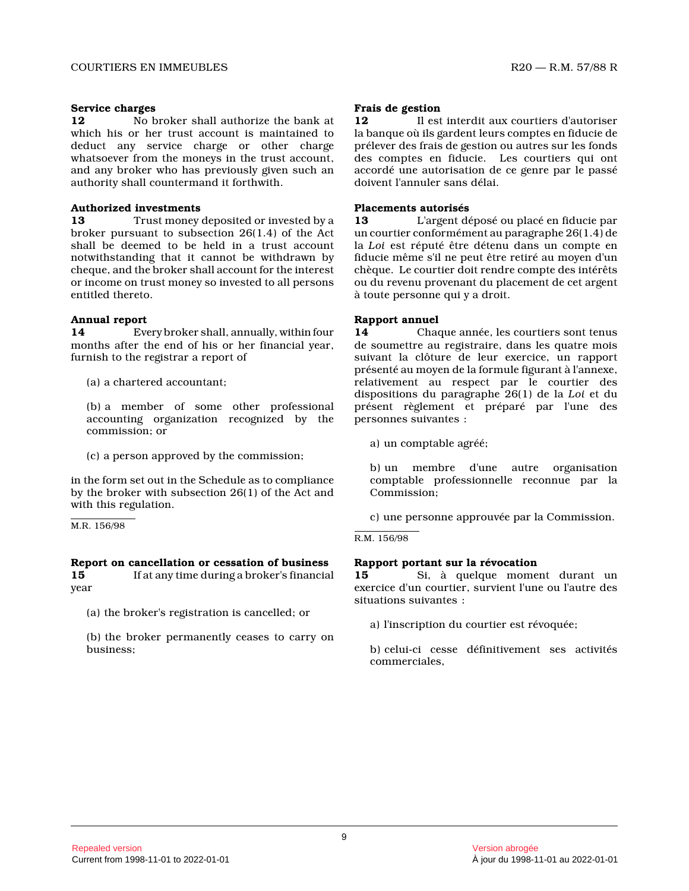#### **Service charges**

**12** No broker shall authorize the bank at which his or her trust account is maintained to deduct any service charge or other charge whatsoever from the moneys in the trust account, and any broker who has previously given such an authority shall countermand it forthwith.

## **Authorized investments**

**13** Trust money deposited or invested by a broker pursuant to subsection 26(1.4) of the Act shall be deemed to be held in a trust account notwithstanding that it cannot be withdrawn by cheque, and the broker shall account for the interest or income on trust money so invested to all persons entitled thereto.

## **Annual report**

**14** Every broker shall, annually, within four months after the end of his or her financial year, furnish to the registrar a report of

(a) a chartered accountant;

(b) a member of some other professional accounting organization recognized by the commission; or

(c) a person approved by the commission;

in the form set out in the Schedule as to complianc e by the broker with subsection 26(1) of the Act and with this regulation.

M.R. 156/98

# **Report on cancellation or cessation of business**

15 If at any time during a broker's financial year

(a) the broker's registration is cancelled; or

(b) the broker permanently ceases to carry on business;

## **Frais de gestion**

**12** Il est interdit aux courtiers d'autoriser la banque où ils gardent leurs comptes en fiducie d e prélever des frais de gestion ou autres sur les fonds des comptes en fiducie. Les courtiers qui ont accordé une autorisation de ce genre par le passé doivent l'annuler sans délai.

## **Placements autorisés**

**13** L'argent déposé ou placé en fiducie par un courtier conformément au paragraphe 26(1.4) de la *Loi* est réputé être détenu dans un compte en fiducie même s'il ne peut être retiré au moyen d'un chèque. Le courtier doit rendre compte des intérêt s ou du revenu provenant du placement de cet argent à toute personne qui y a droit.

# **Rapport annuel**

**14** Chaque année, les courtiers sont tenus de soumettre au registraire, dans les quatre mois suivant la clôture de leur exercice, un rapport présenté au moyen de la formule figurant à l'annexe , relativement au respect par le courtier des dispositions du paragraphe 26(1) de la *Loi* et du présent règlement et préparé par l'une des personnes suivantes :

a) un comptable agréé;

b) un membre d'une autre organisation comptable professionnelle reconnue par la Commission;

c) une personne approuvée par la Commission.

R.M. 156/98

# **Rapport portant sur la révocation**

**15** Si, à quelque moment durant un exercice d'un courtier, survient l'une ou l'autre des situations suivantes :

a) l'inscription du courtier est révoquée;

b) celui-ci cesse définitivement ses activités commerciales,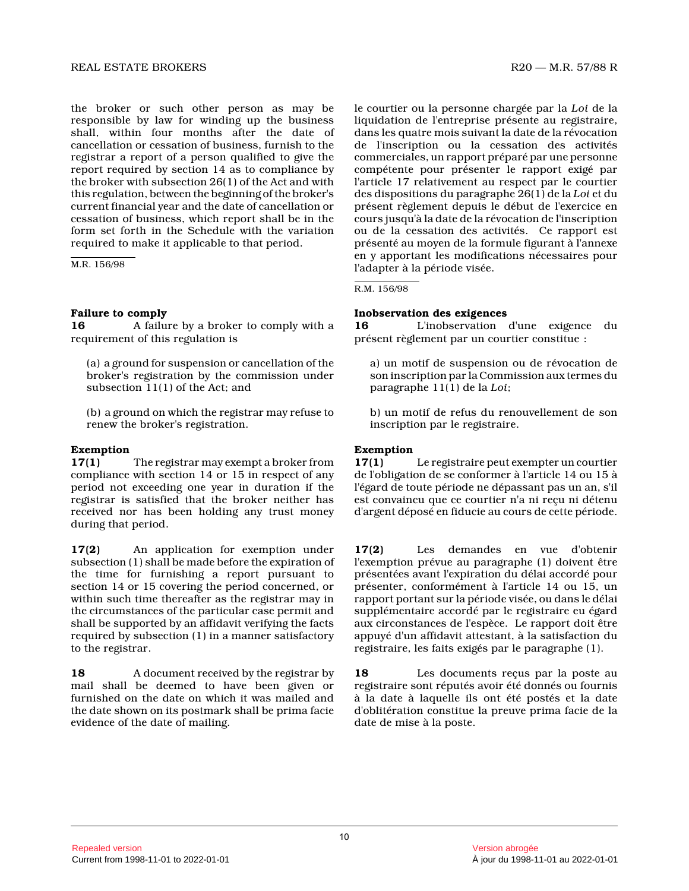# REAL ESTATE BROKERS RADIO REAL ESTATE BROKERS RADIO REAL ESTATE BROKERS

the broker or such other person as may be responsible by law for winding up the business shall, within four months after the date of cancellation or cessation of business, furnish to the registrar a report of a person qualified to give th e report required by section 14 as to compliance by the broker with subsection 26(1) of the Act and wit h this regulation, between the beginning of the broker's current financial year and the date of cancellation or cessation of business, which report shall be in the form set forth in the Schedule with the variation required to make it applicable to that period.

M.R. 156/98

# **Failure to comply**

**16** A failure by a broker to comply with a requirement of this regulation is

(a) a ground for suspension or cancellation of the broker's registration by the commission under subsection 11(1) of the Act; and

(b) a ground on which the registrar may refuse to renew the broker's registration.

#### **Exemption**

**17(1)** The registrar may exempt a broker from compliance with section 14 or 15 in respect of any period not exceeding one year in duration if the registrar is satisfied that the broker neither has received nor has been holding any trust money during that period.

**17(2)** An application for exemption under subsection (1) shall be made before the expiration of the time for furnishing a report pursuant to section 14 or 15 covering the period concerned, or within such time thereafter as the registrar may in the circumstances of the particular case permit and shall be supported by an affidavit verifying the facts required by subsection (1) in a manner satisfactory to the registrar.

**18** A document received by the registrar by mail shall be deemed to have been given or furnished on the date on which it was mailed and the date shown on its postmark shall be prima facie evidence of the date of mailing.

le courtier ou la personne chargée par la *Loi* de la liquidation de l'entreprise présente au registraire , dans les quatre mois suivant la date de la révocation de l'inscription ou la cessation des activités commerciales, un rapport préparé par une personne compétente pour présenter le rapport exigé par l'article 17 relativement au respect par le courtie r des dispositions du paragraphe 26(1) de la *Loi* et du présent règlement depuis le début de l'exercice en cours jusqu'à la date de la révocation de l'inscription ou de la cessation des activités. Ce rapport est présenté au moyen de la formule figurant à l'annexe en y apportant les modifications nécessaires pour l'adapter à la période visée.

R.M. 156/98

# **Inobservation des exigences**

**16** L'inobservation d'une exigence du présent règlement par un courtier constitue :

a) un motif de suspension ou de révocation de son inscription par la Commission aux termes du paragraphe 11(1) de la *Loi* ;

b) un motif de refus du renouvellement de son inscription par le registraire.

# **Exemption**

**17(1)** Le registraire peut exempter un courtier de l'obligation de se conformer à l'article 14 ou 15 à l'égard de toute période ne dépassant pas un an, s'il est convaincu que ce courtier n'a ni reçu ni détenu d'argent déposé en fiducie au cours de cette période.

**17(2)** Les demandes en vue d'obtenir l'exemption prévue au paragraphe (1) doivent être présentées avant l'expiration du délai accordé pour présenter, conformément à l'article 14 ou 15, un rapport portant sur la période visée, ou dans le délai supplémentaire accordé par le registraire eu égard aux circonstances de l'espèce. Le rapport doit êtr e appuyé d'un affidavit attestant, à la satisfaction du registraire, les faits exigés par le paragraphe (1) .

**18** Les documents reçus par la poste au registraire sont réputés avoir été donnés ou fourni s à la date à laquelle ils ont été postés et la date d'oblitération constitue la preuve prima facie de l a date de mise à la poste.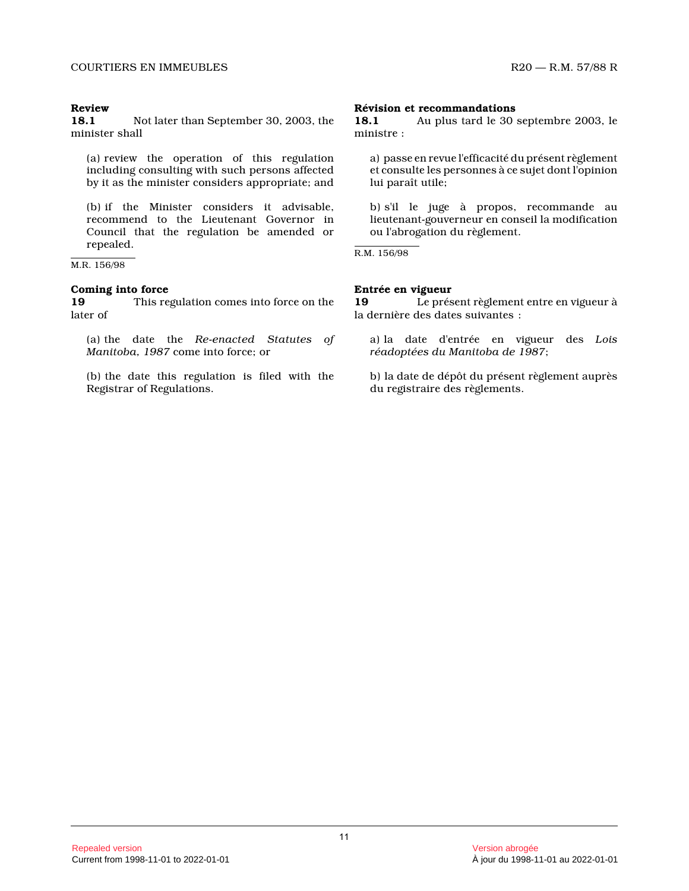# **Review**

**18.1** Not later than September 30, 2003, the minister shall

(a) review the operation of this regulation including consulting with such persons affected by it as the minister considers appropriate; and

(b) if the Minister considers it advisable, recommend to the Lieutenant Governor in Council that the regulation be amended or repealed.

M.R. 156/98

#### **Coming into force**

**19** This regulation comes into force on the later of

(a) the date the *Re-enacted Statutes of Manitoba, 1987* come into force; or

(b) the date this regulation is filed with the Registrar of Regulations.

#### **Révision et recommandations**

**18.1** Au plus tard le 30 septembre 2003, le ministre :

a) passe en revue l'efficacité du présent règlement et consulte les personnes à ce sujet dont l'opinion lui paraît utile;

b) s'il le juge à propos, recommande au lieutenant-gouverneur en conseil la modification ou l'abrogation du règlement.

R.M. 156/98

## **Entrée en vigueur**

**19** Le présent règlement entre en vigueur à la dernière des dates suivantes :

a) la date d'entrée en vigueur des *Lois réadoptées du Manitoba de 1987* ;

b) la date de dépôt du présent règlement auprès du registraire des règlements.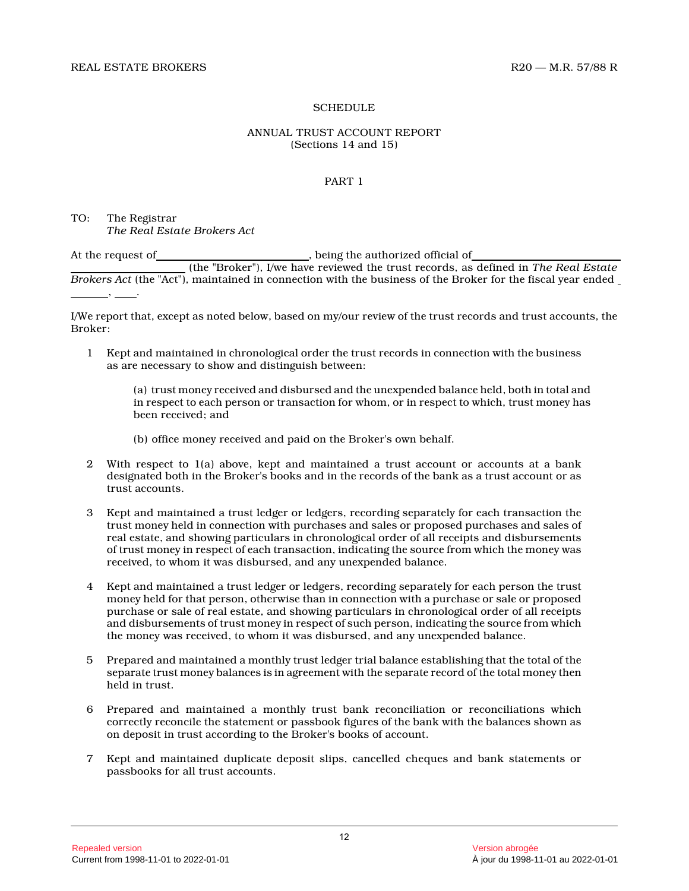## **SCHEDULE**

## ANNUAL TRUST ACCOUNT REPORT (Sections 14 and 15)

## PART 1

TO: The Registrar *The Real Estate Brokers Act*

At the request of\_\_\_\_\_\_\_\_\_\_\_\_\_\_\_\_\_\_\_\_\_\_\_\_\_\_, being the authorized official of\_ (the "Broker"), I/we have reviewed the trust records, as defined in *The Real Estate Brokers Act* (the "Act"), maintained in connection with the business of the Broker for the fiscal year ended ,  $\frac{1}{2}$  ,  $\frac{1}{2}$  ,  $\frac{1}{2}$  ,  $\frac{1}{2}$ 

I/We report that, except as noted below, based on my/our review of the trust records and trust accounts, the Broker:

1 Kept and maintained in chronological order the trust records in connection with the business as are necessary to show and distinguish between:

(a) trust money received and disbursed and the unexpended balance held, both in total and in respect to each person or transaction for whom, or in respect to which, trust money has been received; and

- (b) office money received and paid on the Broker's own behalf.
- 2 With respect to 1(a) above, kept and maintained a trust account or accounts at a bank designated both in the Broker's books and in the records of the bank as a trust account or as trust accounts.
- 3 Kept and maintained a trust ledger or ledgers, recording separately for each transaction the trust money held in connection with purchases and sales or proposed purchases and sales of real estate, and showing particulars in chronological order of all receipts and disbursements of trust money in respect of each transaction, indicating the source from which the money was received, to whom it was disbursed, and any unexpended balance.
- 4 Kept and maintained a trust ledger or ledgers, recording separately for each person the trust money held for that person, otherwise than in connection with a purchase or sale or proposed purchase or sale of real estate, and showing particulars in chronological order of all receipts and disbursements of trust money in respect of such person, indicating the source from which the money was received, to whom it was disbursed, and any unexpended balance.
- 5 Prepared and maintained a monthly trust ledger trial balance establishing that the total of the separate trust money balances is in agreement with the separate record of the total money then held in trust.
- 6 Prepared and maintained a monthly trust bank reconciliation or reconciliations which correctly reconcile the statement or passbook figures of the bank with the balances shown as on deposit in trust according to the Broker's books of account.
- 7 Kept and maintained duplicate deposit slips, cancelled cheques and bank statements or passbooks for all trust accounts.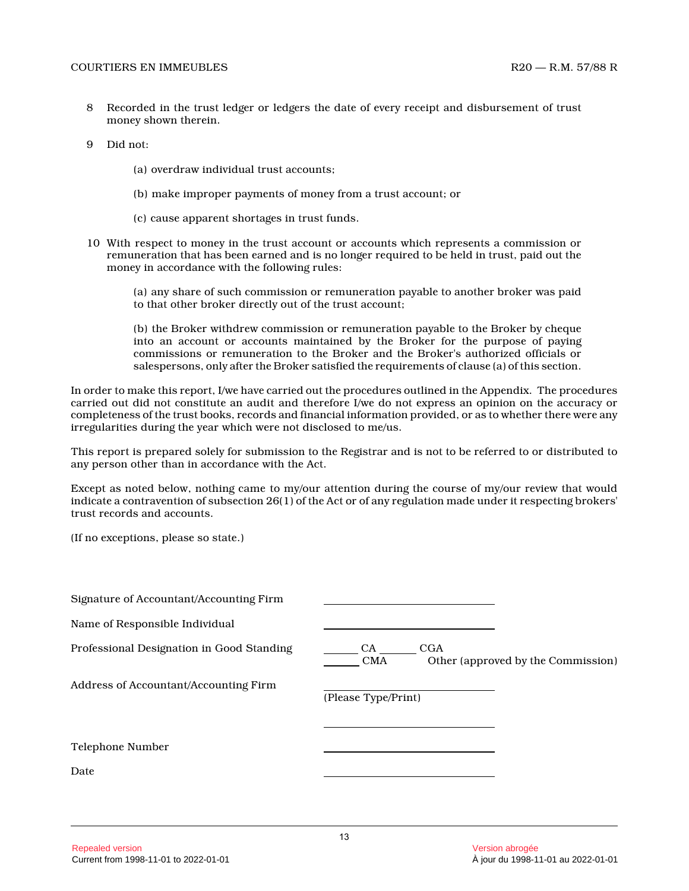- 8 Recorded in the trust ledger or ledgers the date of every receipt and disbursement of trust money shown therein.
- 9 Did not:
	- (a) overdraw individual trust accounts;
	- (b) make improper payments of money from a trust account; or
	- (c) cause apparent shortages in trust funds.
- 10 With respect to money in the trust account or accounts which represents a commission or remuneration that has been earned and is no longer required to be held in trust, paid out the money in accordance with the following rules:

(a) any share of such commission or remuneration payable to another broker was paid to that other broker directly out of the trust account;

(b) the Broker withdrew commission or remuneration payable to the Broker by cheque into an account or accounts maintained by the Broker for the purpose of paying commissions or remuneration to the Broker and the Broker's authorized officials or salespersons, only after the Broker satisfied the requirements of clause (a) of this section.

In order to make this report, I/we have carried out the procedures outlined in the Appendix. The procedures carried out did not constitute an audit and therefore I/we do not express an opinion on the accuracy o r completeness of the trust books, records and financial information provided, or as to whether there were any irregularities during the year which were not disclosed to me/us.

This report is prepared solely for submission to the Registrar and is not to be referred to or distributed to any person other than in accordance with the Act.

Except as noted below, nothing came to my/our attention during the course of my/our review that would indicate a contravention of subsection 26(1) of the Act or of any regulation made under it respecting brokers' trust records and accounts.

(If no exceptions, please so state.)

| Signature of Accountant/Accounting Firm   |                                                                 |
|-------------------------------------------|-----------------------------------------------------------------|
| Name of Responsible Individual            |                                                                 |
| Professional Designation in Good Standing | CGA<br>CA -<br>Other (approved by the Commission)<br><b>CMA</b> |
| Address of Accountant/Accounting Firm     | (Please Type/Print)                                             |
| Telephone Number                          |                                                                 |
| Date                                      |                                                                 |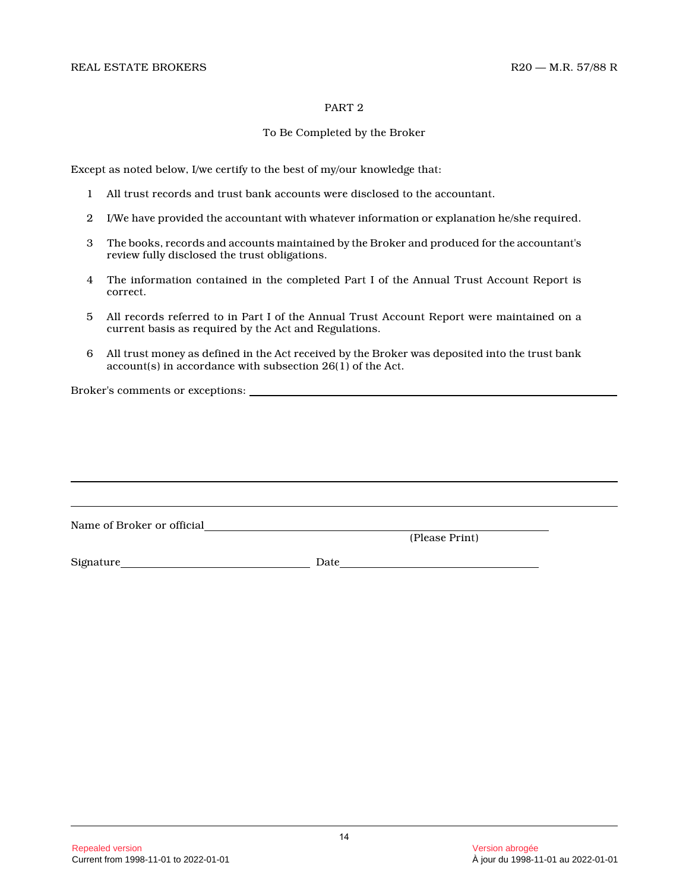#### PART 2

## To Be Completed by the Broker

Except as noted below, I/we certify to the best of my/our knowledge that:

- 1 All trust records and trust bank accounts were disclosed to the accountant.
- 2 I/We have provided the accountant with whatever information or explanation he/she required.
- 3 The books, records and accounts maintained by the Broker and produced for the accountant's review fully disclosed the trust obligations.
- 4 The information contained in the completed Part I of the Annual Trust Account Report is correct.
- 5 All records referred to in Part I of the Annual Trust Account Report were maintained on a current basis as required by the Act and Regulations.
- 6 All trust money as defined in the Act received by the Broker was deposited into the trust bank account(s) in accordance with subsection 26(1) of the Act.

Broker's comments or exceptions:

| Name of Broker or official |      |                |
|----------------------------|------|----------------|
|                            |      | (Please Print) |
| Signature                  | Date |                |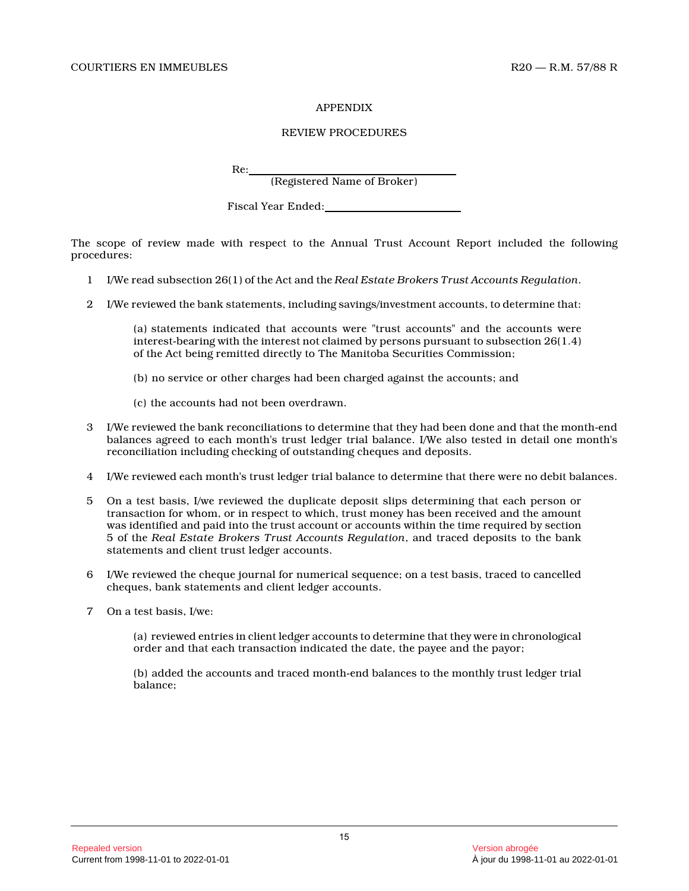#### APPENDIX

## REVIEW PROCEDURES

Re:

(Registered Name of Broker)

Fiscal Year Ended:

The scope of review made with respect to the Annual Trust Account Report included the following procedures:

- 1 I/We read subsection 26(1) of the Act and the *Real Estate Brokers Trust Accounts Regulation* .
- 2 I/We reviewed the bank statements, including savings/investment accounts, to determine that:

(a) statements indicated that accounts were "trust accounts" and the accounts were interest-bearing with the interest not claimed by persons pursuant to subsection 26(1.4) of the Act being remitted directly to The Manitoba Securities Commission;

- (b) no service or other charges had been charged against the accounts; and
- (c) the accounts had not been overdrawn.
- 3 I/We reviewed the bank reconciliations to determine that they had been done and that the month-end balances agreed to each month's trust ledger trial balance. I/We also tested in detail one month's reconciliation including checking of outstanding cheques and deposits.
- 4 I/We reviewed each month's trust ledger trial balance to determine that there were no debit balances.
- 5 On a test basis, I/we reviewed the duplicate deposit slips determining that each person or transaction for whom, or in respect to which, trust money has been received and the amount was identified and paid into the trust account or accounts within the time required by section 5 of the *Real Estate Brokers Trust Accounts Regulation*, and traced deposits to the bank statements and client trust ledger accounts.
- 6 I/We reviewed the cheque journal for numerical sequence; on a test basis, traced to cancelled cheques, bank statements and client ledger accounts .
- 7 On a test basis, I/we:

(a) reviewed entries in client ledger accounts to determine that they were in chronological order and that each transaction indicated the date, the payee and the payor;

(b) added the accounts and traced month-end balances to the monthly trust ledger trial balance;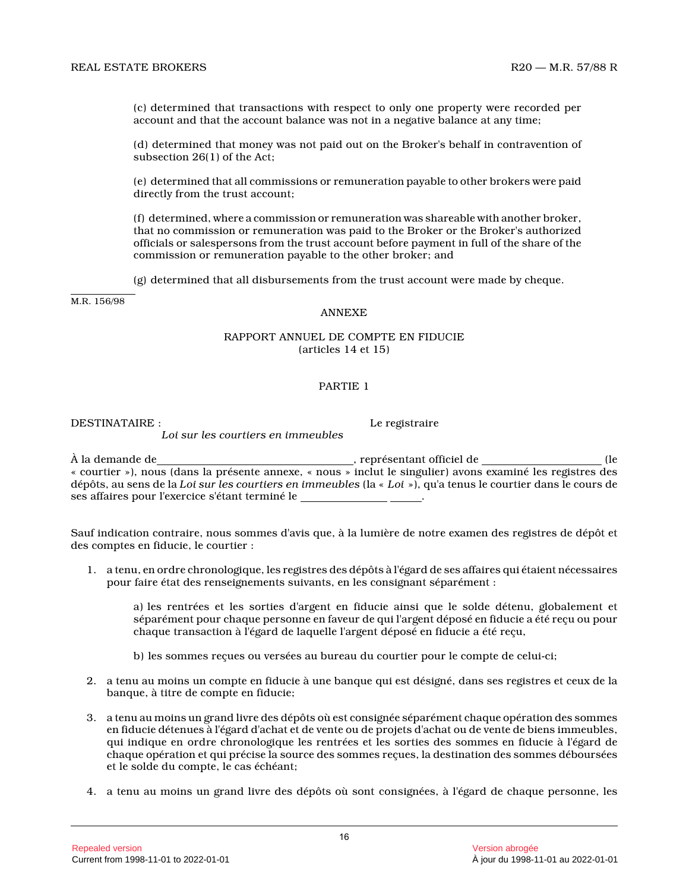(c) determined that transactions with respect to only one property were recorded per account and that the account balance was not in a negative balance at any time;

(d) determined that money was not paid out on the Broker's behalf in contravention of subsection 26(1) of the Act;

(e) determined that all commissions or remuneration payable to other brokers were paid directly from the trust account;

(f) determined, where a commission or remuneration was shareable with another broker, that no commission or remuneration was paid to the Broker or the Broker's authorized officials or salespersons from the trust account before payment in full of the share of the commission or remuneration payable to the other broker; and

(g) determined that all disbursements from the trust account were made by cheque.

M.R. 156/98

## ANNEXE

#### RAPPORT ANNUEL DE COMPTE EN FIDUCIE (articles 14 et 15)

#### PARTIE 1

DESTINATAIRE : Le registraire

À la demande de  $\overline{A}$  la demande de (le « courtier »), nous (dans la présente annexe, « nous » inclut le singulier) avons examiné les registres de s dépôts, au sens de la *Loi sur les courtiers en immeubles* (la « *Loi* »), qu'a tenus le courtier dans le cours de ses affaires pour l'exercice s'étant terminé le .

*Loi sur les courtiers en immeubles*

Sauf indication contraire, nous sommes d'avis que, à la lumière de notre examen des registres de dépôt et des comptes en fiducie, le courtier :

1. a tenu, en ordre chronologique, les registres des dépôts à l'égard de ses affaires qui étaient nécessaires pour faire état des renseignements suivants, en les consignant séparément :

a) les rentrées et les sorties d'argent en fiducie ainsi que le solde détenu, globalement et séparément pour chaque personne en faveur de qui l'argent déposé en fiducie a été reçu ou pour chaque transaction à l'égard de laquelle l'argent déposé en fiducie a été reçu,

- b) les sommes reçues ou versées au bureau du courtier pour le compte de celui-ci;
- 2. a tenu au moins un compte en fiducie à une banque qui est désigné, dans ses registres et ceux de la banque, à titre de compte en fiducie;
- 3. a tenu au moins un grand livre des dépôts où est consignée séparément chaque opération des sommes en fiducie détenues à l'égard d'achat et de vente ou de projets d'achat ou de vente de biens immeubles , qui indique en ordre chronologique les rentrées et les sorties des sommes en fiducie à l'égard de chaque opération et qui précise la source des sommes reçues, la destination des sommes déboursées et le solde du compte, le cas échéant;
- 4. a tenu au moins un grand livre des dépôts où sont consignées, à l'égard de chaque personne, les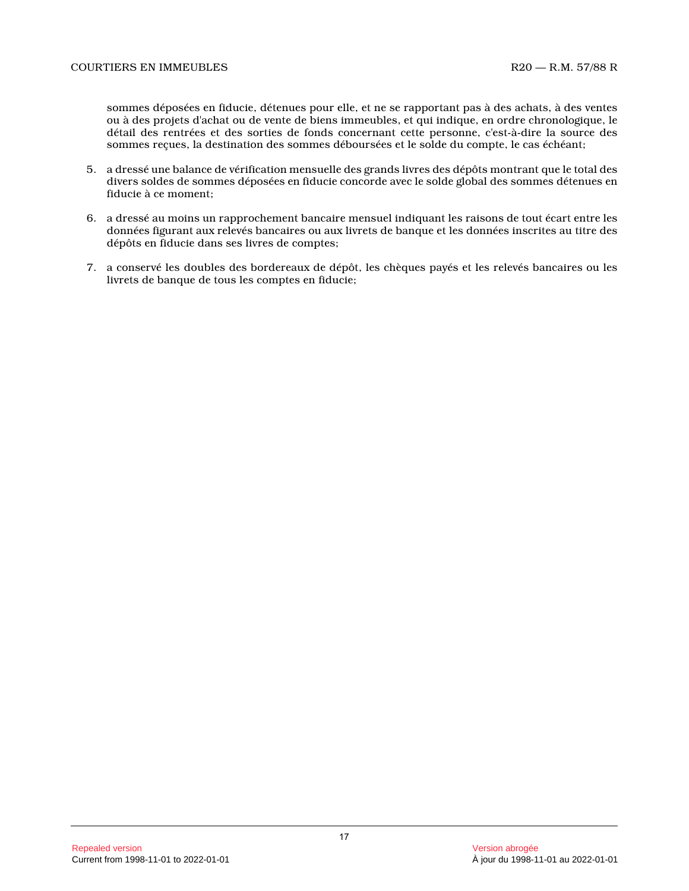sommes déposées en fiducie, détenues pour elle, et ne se rapportant pas à des achats, à des ventes ou à des projets d'achat ou de vente de biens immeubles, et qui indique, en ordre chronologique, le détail des rentrées et des sorties de fonds concernant cette personne, c'est-à-dire la source des sommes reçues, la destination des sommes déboursées et le solde du compte, le cas échéant;

- 5. a dressé une balance de vérification mensuelle des grands livres des dépôts montrant que le total de s divers soldes de sommes déposées en fiducie concorde avec le solde global des sommes détenues en fiducie à ce moment;
- 6. a dressé au moins un rapprochement bancaire mensuel indiquant les raisons de tout écart entre les données figurant aux relevés bancaires ou aux livrets de banque et les données inscrites au titre des dépôts en fiducie dans ses livres de comptes;
- 7. a conservé les doubles des bordereaux de dépôt, les chèques payés et les relevés bancaires ou les livrets de banque de tous les comptes en fiducie;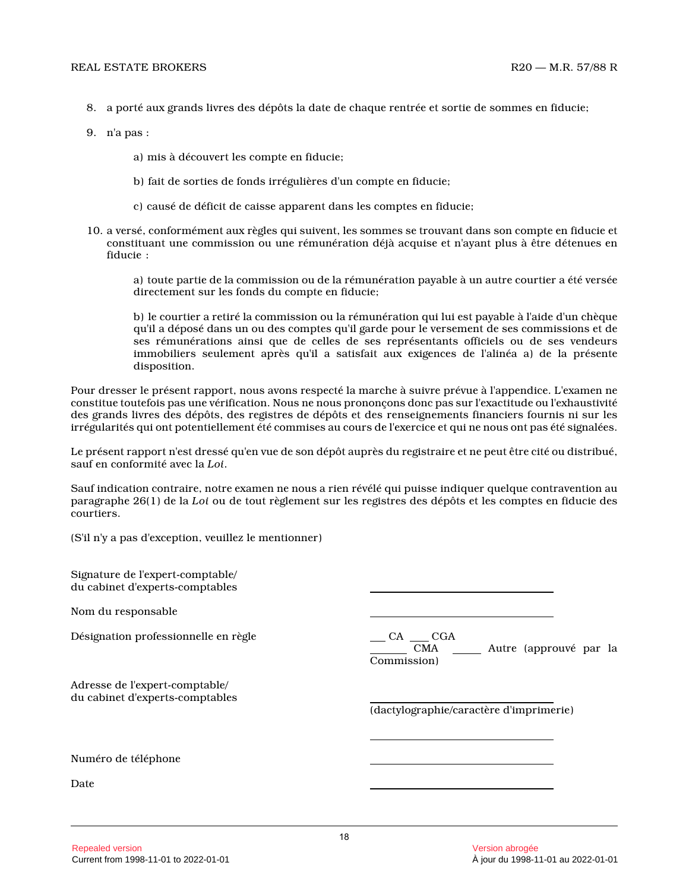- 8. a porté aux grands livres des dépôts la date de chaque rentrée et sortie de sommes en fiducie;
- 9. n'a pas :
	- a) mis à découvert les compte en fiducie;
	- b) fait de sorties de fonds irrégulières d'un compte en fiducie;
	- c) causé de déficit de caisse apparent dans les comptes en fiducie;
- 10. a versé, conformément aux règles qui suivent, les sommes se trouvant dans son compte en fiducie et constituant une commission ou une rémunération déjà acquise et n'ayant plus à être détenues en fiducie :

a) toute partie de la commission ou de la rémunération payable à un autre courtier a été versée directement sur les fonds du compte en fiducie;

b) le courtier a retiré la commission ou la rémunération qui lui est payable à l'aide d'un chèque qu'il a déposé dans un ou des comptes qu'il garde pour le versement de ses commissions et de ses rémunérations ainsi que de celles de ses représentants officiels ou de ses vendeurs immobiliers seulement après qu'il a satisfait aux exigences de l'alinéa a) de la présente disposition.

Pour dresser le présent rapport, nous avons respecté la marche à suivre prévue à l'appendice. L'examen ne constitue toutefois pas une vérification. Nous ne nous prononçons donc pas sur l'exactitude ou l'exhaustivité des grands livres des dépôts, des registres de dépôts et des renseignements financiers fournis ni sur les irrégularités qui ont potentiellement été commises au cours de l'exercice et qui ne nous ont pas été signalées.

Le présent rapport n'est dressé qu'en vue de son dépôt auprès du registraire et ne peut être cité ou distribué, sauf en conformité avec la *Loi* .

Sauf indication contraire, notre examen ne nous a rien révélé qui puisse indiquer quelque contravention au paragraphe 26(1) de la *Loi* ou de tout règlement sur les registres des dépôts et les comptes en fiducie des courtiers.

(S'il n'y a pas d'exception, veuillez le mentionner )

| Signature de l'expert-comptable/<br>du cabinet d'experts-comptables |                                                                  |  |
|---------------------------------------------------------------------|------------------------------------------------------------------|--|
| Nom du responsable                                                  |                                                                  |  |
| Désignation professionnelle en règle                                | $CA$ $CGA$<br>CMA ________ Autre (approuvé par la<br>Commission) |  |
| Adresse de l'expert-comptable/<br>du cabinet d'experts-comptables   | (dactylographie/caractère d'imprimerie)                          |  |
| Numéro de téléphone                                                 |                                                                  |  |
| Date                                                                |                                                                  |  |
|                                                                     |                                                                  |  |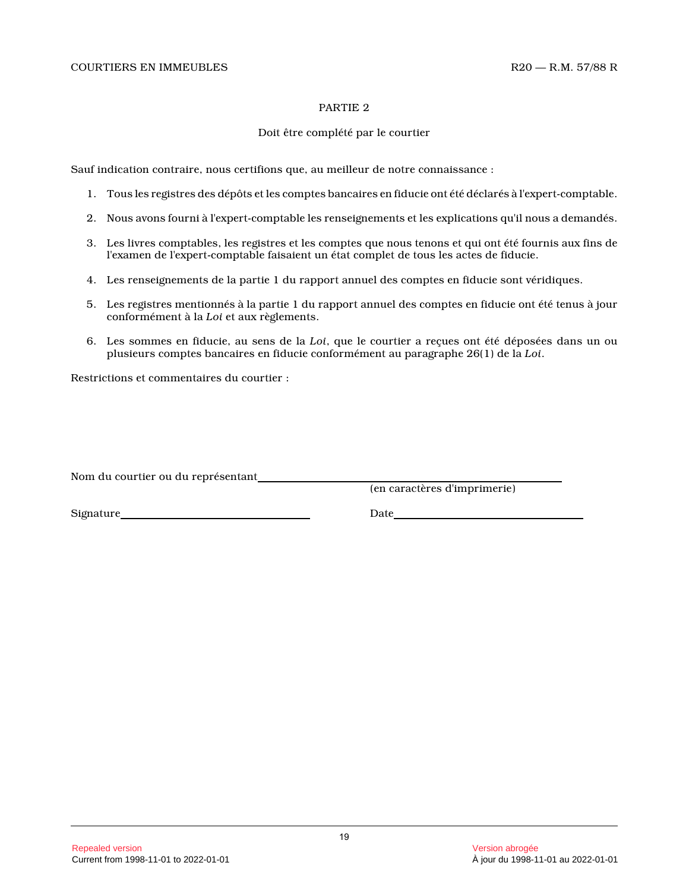#### PARTIE 2

## Doit être complété par le courtier

Sauf indication contraire, nous certifions que, au meilleur de notre connaissance :

- 1. Tous les registres des dépôts et les comptes bancaires en fiducie ont été déclarés à l'expert-comptable.
- 2. Nous avons fourni à l'expert-comptable les renseignements et les explications qu'il nous a demandés.
- 3. Les livres comptables, les registres et les comptes que nous tenons et qui ont été fournis aux fins de l'examen de l'expert-comptable faisaient un état complet de tous les actes de fiducie.
- 4. Les renseignements de la partie 1 du rapport annuel des comptes en fiducie sont véridiques.
- 5. Les registres mentionnés à la partie 1 du rapport annuel des comptes en fiducie ont été tenus à jour conformément à la *Loi* et aux règlements.
- 6. Les sommes en fiducie, au sens de la *Loi*, que le courtier a reçues ont été déposées dans un ou plusieurs comptes bancaires en fiducie conformément au paragraphe 26(1) de la *Loi* .

Restrictions et commentaires du courtier :

Nom du courtier ou du représentant

(en caractères d'imprimerie)

Signature Date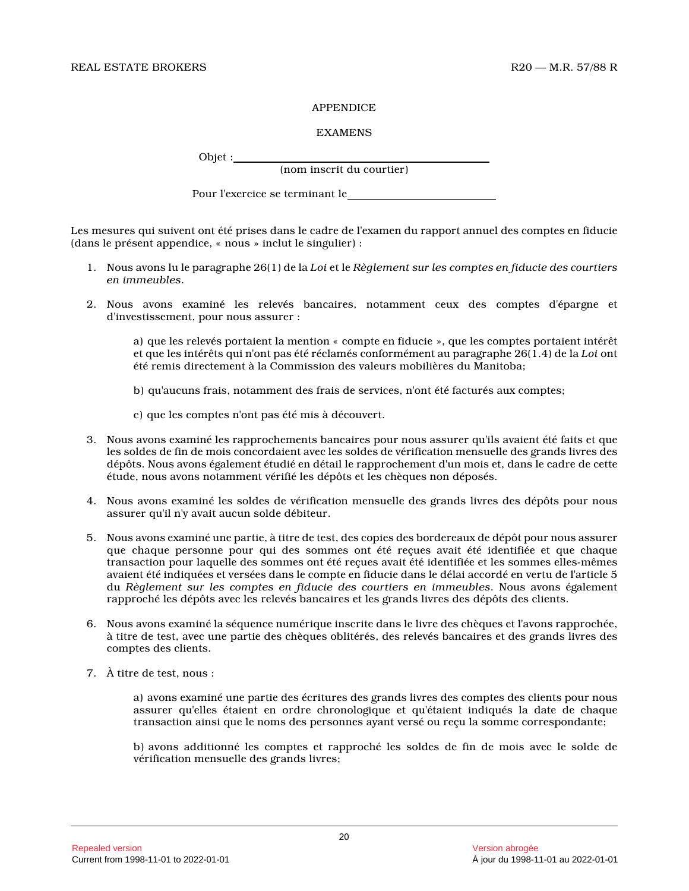## APPENDICE

## EXAMENS

Objet :

(nom inscrit du courtier)

Pour l'exercice se terminant le

Les mesures qui suivent ont été prises dans le cadre de l'examen du rapport annuel des comptes en fiducie (dans le présent appendice, « nous » inclut le singulier) :

- 1. Nous avons lu le paragraphe 26(1) de la *Loi* et le *Règlement sur les comptes en fiducie des courtiers en immeubles* .
- 2. Nous avons examiné les relevés bancaires, notamment ceux des comptes d'épargne et d'investissement, pour nous assurer :

a) que les relevés portaient la mention « compte en fiducie », que les comptes portaient intérêt et que les intérêts qui n'ont pas été réclamés conformément au paragraphe 26(1.4) de la *Loi* ont été remis directement à la Commission des valeurs mobilières du Manitoba;

- b) qu'aucuns frais, notamment des frais de services, n'ont été facturés aux comptes;
- c) que les comptes n'ont pas été mis à découvert.
- 3. Nous avons examiné les rapprochements bancaires pour nous assurer qu'ils avaient été faits et que les soldes de fin de mois concordaient avec les soldes de vérification mensuelle des grands livres des dépôts. Nous avons également étudié en détail le rapprochement d'un mois et, dans le cadre de cette étude, nous avons notamment vérifié les dépôts et les chèques non déposés.
- 4. Nous avons examiné les soldes de vérification mensuelle des grands livres des dépôts pour nous assurer qu'il n'y avait aucun solde débiteur.
- 5. Nous avons examiné une partie, à titre de test, des copies des bordereaux de dépôt pour nous assurer que chaque personne pour qui des sommes ont été reçues avait été identifiée et que chaque transaction pour laquelle des sommes ont été reçues avait été identifiée et les sommes elles-mêmes avaient été indiquées et versées dans le compte en fiducie dans le délai accordé en vertu de l'article 5 du *Règlement sur les comptes en fiducie des courtiers en immeubles*. Nous avons également rapproché les dépôts avec les relevés bancaires et les grands livres des dépôts des clients.
- 6. Nous avons examiné la séquence numérique inscrite dans le livre des chèques et l'avons rapprochée, à titre de test, avec une partie des chèques oblitérés, des relevés bancaires et des grands livres des comptes des clients.
- 7. À titre de test, nous :

a) avons examiné une partie des écritures des grands livres des comptes des clients pour nous assurer qu'elles étaient en ordre chronologique et qu'étaient indiqués la date de chaque transaction ainsi que le noms des personnes ayant versé ou reçu la somme correspondante;

b) avons additionné les comptes et rapproché les soldes de fin de mois avec le solde de vérification mensuelle des grands livres;